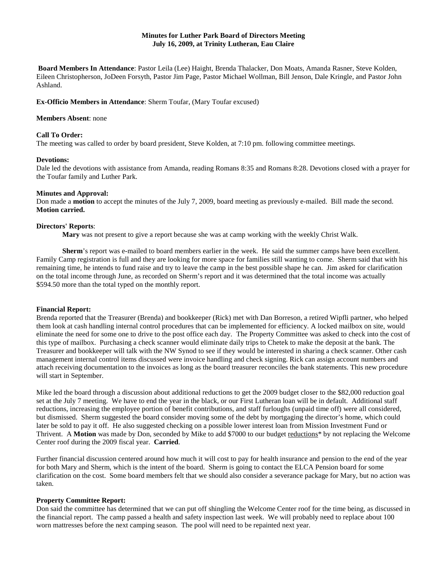## **Minutes for Luther Park Board of Directors Meeting July 16, 2009, at Trinity Lutheran, Eau Claire**

**Board Members In Attendance**: Pastor Leila (Lee) Haight, Brenda Thalacker, Don Moats, Amanda Rasner, Steve Kolden, Eileen Christopherson, JoDeen Forsyth, Pastor Jim Page, Pastor Michael Wollman, Bill Jenson, Dale Kringle, and Pastor John Ashland.

### **Ex-Officio Members in Attendance**: Sherm Toufar, (Mary Toufar excused)

### **Members Absent**: none

#### **Call To Order:**

The meeting was called to order by board president, Steve Kolden, at 7:10 pm. following committee meetings.

### **Devotions:**

Dale led the devotions with assistance from Amanda, reading Romans 8:35 and Romans 8:28. Devotions closed with a prayer for the Toufar family and Luther Park.

#### **Minutes and Approval:**

Don made a **motion** to accept the minutes of the July 7, 2009, board meeting as previously e-mailed. Bill made the second. **Motion carried.**

#### **Directors' Reports**:

**Mary** was not present to give a report because she was at camp working with the weekly Christ Walk.

**Sherm**'s report was e-mailed to board members earlier in the week. He said the summer camps have been excellent. Family Camp registration is full and they are looking for more space for families still wanting to come. Sherm said that with his remaining time, he intends to fund raise and try to leave the camp in the best possible shape he can. Jim asked for clarification on the total income through June, as recorded on Sherm's report and it was determined that the total income was actually \$594.50 more than the total typed on the monthly report.

### **Financial Report:**

Brenda reported that the Treasurer (Brenda) and bookkeeper (Rick) met with Dan Borreson, a retired Wipfli partner, who helped them look at cash handling internal control procedures that can be implemented for efficiency. A locked mailbox on site, would eliminate the need for some one to drive to the post office each day. The Property Committee was asked to check into the cost of this type of mailbox. Purchasing a check scanner would eliminate daily trips to Chetek to make the deposit at the bank. The Treasurer and bookkeeper will talk with the NW Synod to see if they would be interested in sharing a check scanner. Other cash management internal control items discussed were invoice handling and check signing. Rick can assign account numbers and attach receiving documentation to the invoices as long as the board treasurer reconciles the bank statements. This new procedure will start in September.

Mike led the board through a discussion about additional reductions to get the 2009 budget closer to the \$82,000 reduction goal set at the July 7 meeting. We have to end the year in the black, or our First Lutheran loan will be in default. Additional staff reductions, increasing the employee portion of benefit contributions, and staff furloughs (unpaid time off) were all considered, but dismissed. Sherm suggested the board consider moving some of the debt by mortgaging the director's home, which could later be sold to pay it off. He also suggested checking on a possible lower interest loan from Mission Investment Fund or Thrivent. A **Motion** was made by Don, seconded by Mike to add \$7000 to our budget reductions\* by not replacing the Welcome Center roof during the 2009 fiscal year. **Carried**.

Further financial discussion centered around how much it will cost to pay for health insurance and pension to the end of the year for both Mary and Sherm, which is the intent of the board. Sherm is going to contact the ELCA Pension board for some clarification on the cost. Some board members felt that we should also consider a severance package for Mary, but no action was taken.

## **Property Committee Report:**

Don said the committee has determined that we can put off shingling the Welcome Center roof for the time being, as discussed in the financial report. The camp passed a health and safety inspection last week. We will probably need to replace about 100 worn mattresses before the next camping season. The pool will need to be repainted next year.